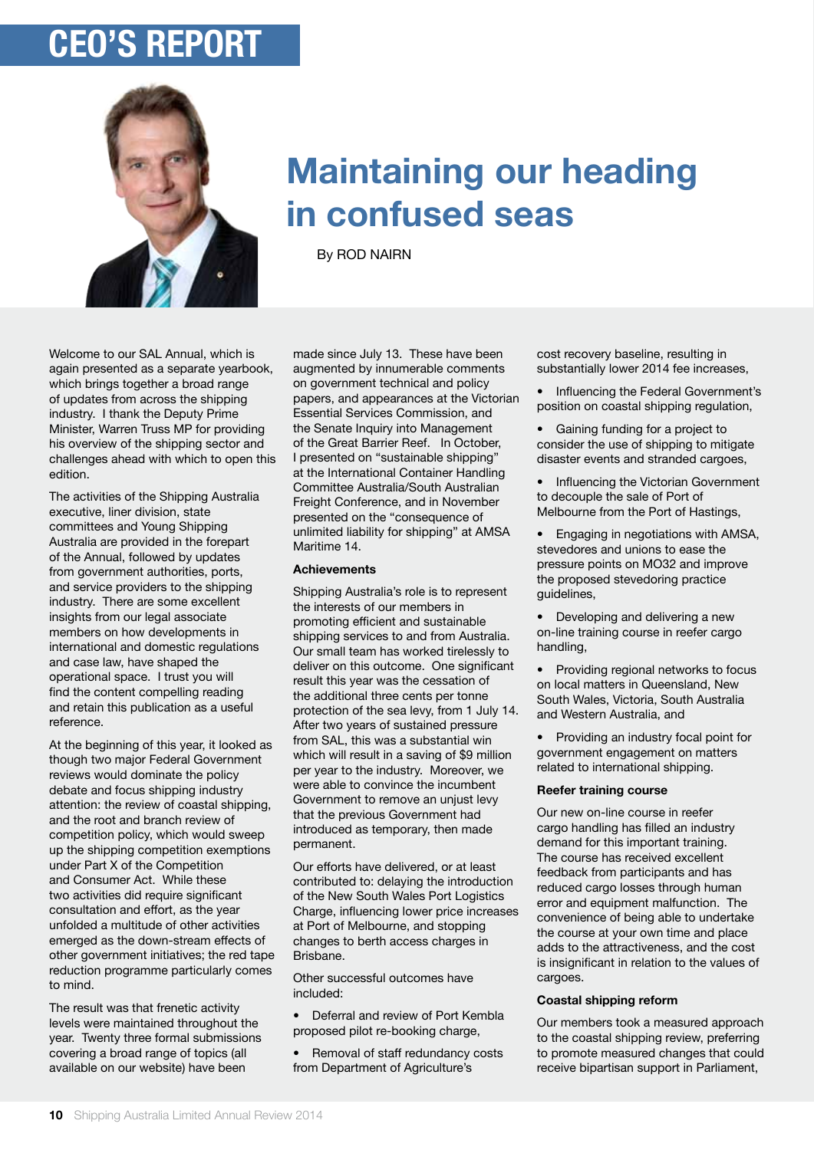# **ceo's report**



## **Maintaining our heading in confused seas**

By ROD NAIRN

Welcome to our SAL Annual, which is again presented as a separate yearbook, which brings together a broad range of updates from across the shipping industry. I thank the Deputy Prime Minister, Warren Truss MP for providing his overview of the shipping sector and challenges ahead with which to open this edition.

The activities of the Shipping Australia executive, liner division, state committees and Young Shipping Australia are provided in the forepart of the Annual, followed by updates from government authorities, ports, and service providers to the shipping industry. There are some excellent insights from our legal associate members on how developments in international and domestic regulations and case law, have shaped the operational space. I trust you will find the content compelling reading and retain this publication as a useful reference.

At the beginning of this year, it looked as though two major Federal Government reviews would dominate the policy debate and focus shipping industry attention: the review of coastal shipping, and the root and branch review of competition policy, which would sweep up the shipping competition exemptions under Part X of the Competition and Consumer Act. While these two activities did require significant consultation and effort, as the year unfolded a multitude of other activities emerged as the down-stream effects of other government initiatives; the red tape reduction programme particularly comes to mind.

The result was that frenetic activity levels were maintained throughout the year. Twenty three formal submissions covering a broad range of topics (all available on our website) have been

made since July 13. These have been augmented by innumerable comments on government technical and policy papers, and appearances at the Victorian Essential Services Commission, and the Senate Inquiry into Management of the Great Barrier Reef. In October, I presented on "sustainable shipping" at the International Container Handling Committee Australia/South Australian Freight Conference, and in November presented on the "consequence of unlimited liability for shipping" at AMSA Maritime 14.

## **Achievements**

Shipping Australia's role is to represent the interests of our members in promoting efficient and sustainable shipping services to and from Australia. Our small team has worked tirelessly to deliver on this outcome. One significant result this year was the cessation of the additional three cents per tonne protection of the sea levy, from 1 July 14. After two years of sustained pressure from SAL, this was a substantial win which will result in a saving of \$9 million per year to the industry. Moreover, we were able to convince the incumbent Government to remove an unjust levy that the previous Government had introduced as temporary, then made permanent.

Our efforts have delivered, or at least contributed to: delaying the introduction of the New South Wales Port Logistics Charge, influencing lower price increases at Port of Melbourne, and stopping changes to berth access charges in Brisbane.

Other successful outcomes have included:

• Deferral and review of Port Kembla proposed pilot re-booking charge,

• Removal of staff redundancy costs from Department of Agriculture's

cost recovery baseline, resulting in substantially lower 2014 fee increases,

• Influencing the Federal Government's position on coastal shipping regulation,

• Gaining funding for a project to consider the use of shipping to mitigate disaster events and stranded cargoes,

• Influencing the Victorian Government to decouple the sale of Port of Melbourne from the Port of Hastings,

• Engaging in negotiations with AMSA, stevedores and unions to ease the pressure points on MO32 and improve the proposed stevedoring practice guidelines,

• Developing and delivering a new on-line training course in reefer cargo handling,

• Providing regional networks to focus on local matters in Queensland, New South Wales, Victoria, South Australia and Western Australia, and

• Providing an industry focal point for government engagement on matters related to international shipping.

## **Reefer training course**

Our new on-line course in reefer cargo handling has filled an industry demand for this important training. The course has received excellent feedback from participants and has reduced cargo losses through human error and equipment malfunction. The convenience of being able to undertake the course at your own time and place adds to the attractiveness, and the cost is insignificant in relation to the values of cargoes.

#### **Coastal shipping reform**

Our members took a measured approach to the coastal shipping review, preferring to promote measured changes that could receive bipartisan support in Parliament,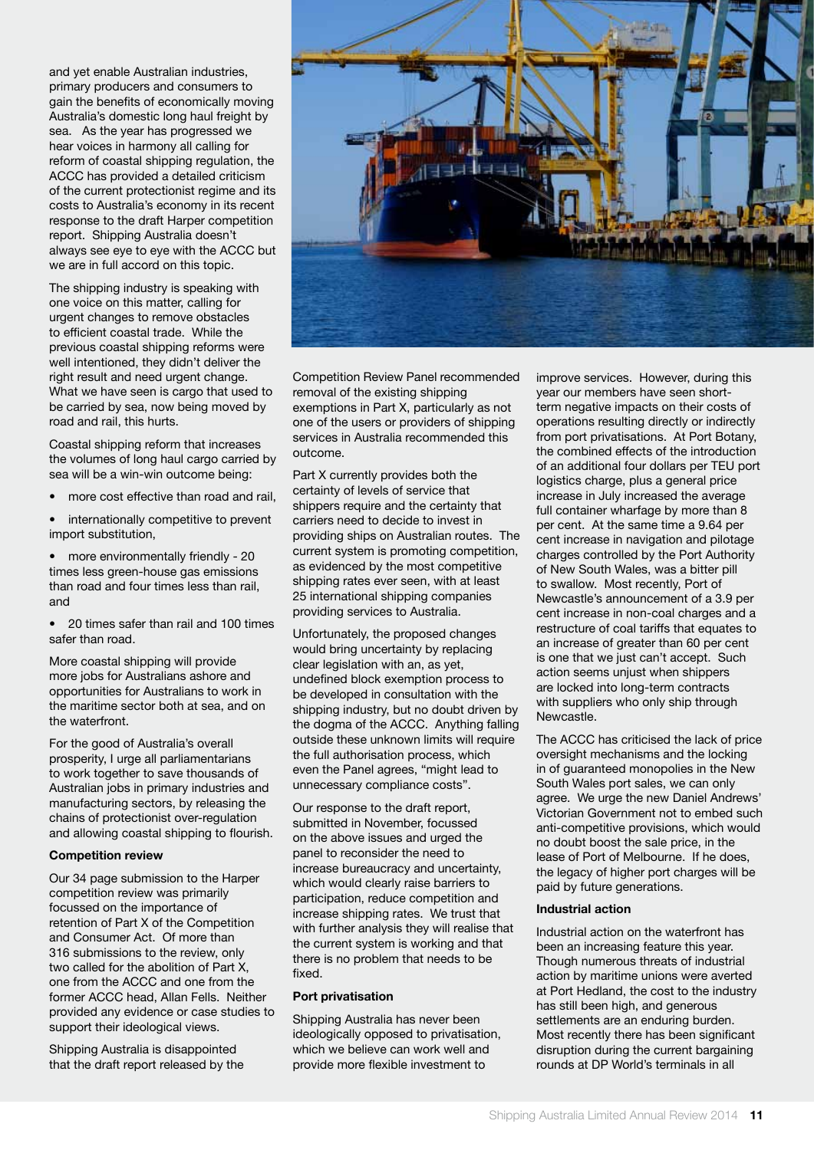and yet enable Australian industries, primary producers and consumers to gain the benefits of economically moving Australia's domestic long haul freight by sea. As the year has progressed we hear voices in harmony all calling for reform of coastal shipping regulation, the ACCC has provided a detailed criticism of the current protectionist regime and its costs to Australia's economy in its recent response to the draft Harper competition report. Shipping Australia doesn't always see eye to eye with the ACCC but we are in full accord on this topic.

The shipping industry is speaking with one voice on this matter, calling for urgent changes to remove obstacles to efficient coastal trade. While the previous coastal shipping reforms were well intentioned, they didn't deliver the right result and need urgent change. What we have seen is cargo that used to be carried by sea, now being moved by road and rail, this hurts.

Coastal shipping reform that increases the volumes of long haul cargo carried by sea will be a win-win outcome being:

- more cost effective than road and rail.
- internationally competitive to prevent import substitution,

• more environmentally friendly - 20 times less green-house gas emissions than road and four times less than rail, and

• 20 times safer than rail and 100 times safer than road.

More coastal shipping will provide more jobs for Australians ashore and opportunities for Australians to work in the maritime sector both at sea, and on the waterfront.

For the good of Australia's overall prosperity, I urge all parliamentarians to work together to save thousands of Australian jobs in primary industries and manufacturing sectors, by releasing the chains of protectionist over-regulation and allowing coastal shipping to flourish.

#### **Competition review**

Our 34 page submission to the Harper competition review was primarily focussed on the importance of retention of Part X of the Competition and Consumer Act. Of more than 316 submissions to the review, only two called for the abolition of Part X one from the ACCC and one from the former ACCC head, Allan Fells. Neither provided any evidence or case studies to support their ideological views.

Shipping Australia is disappointed that the draft report released by the



Competition Review Panel recommended removal of the existing shipping exemptions in Part X, particularly as not one of the users or providers of shipping services in Australia recommended this outcome.

Part X currently provides both the certainty of levels of service that shippers require and the certainty that carriers need to decide to invest in providing ships on Australian routes. The current system is promoting competition, as evidenced by the most competitive shipping rates ever seen, with at least 25 international shipping companies providing services to Australia.

Unfortunately, the proposed changes would bring uncertainty by replacing clear legislation with an, as yet, undefined block exemption process to be developed in consultation with the shipping industry, but no doubt driven by the dogma of the ACCC. Anything falling outside these unknown limits will require the full authorisation process, which even the Panel agrees, "might lead to unnecessary compliance costs".

Our response to the draft report, submitted in November, focussed on the above issues and urged the panel to reconsider the need to increase bureaucracy and uncertainty, which would clearly raise barriers to participation, reduce competition and increase shipping rates. We trust that with further analysis they will realise that the current system is working and that there is no problem that needs to be fixed.

#### **Port privatisation**

Shipping Australia has never been ideologically opposed to privatisation, which we believe can work well and provide more flexible investment to

improve services. However, during this year our members have seen shortterm negative impacts on their costs of operations resulting directly or indirectly from port privatisations. At Port Botany, the combined effects of the introduction of an additional four dollars per TEU port logistics charge, plus a general price increase in July increased the average full container wharfage by more than 8 per cent. At the same time a 9.64 per cent increase in navigation and pilotage charges controlled by the Port Authority of New South Wales, was a bitter pill to swallow. Most recently, Port of Newcastle's announcement of a 3.9 per cent increase in non-coal charges and a restructure of coal tariffs that equates to an increase of greater than 60 per cent is one that we just can't accept. Such action seems unjust when shippers are locked into long-term contracts with suppliers who only ship through Newcastle.

The ACCC has criticised the lack of price oversight mechanisms and the locking in of guaranteed monopolies in the New South Wales port sales, we can only agree. We urge the new Daniel Andrews' Victorian Government not to embed such anti-competitive provisions, which would no doubt boost the sale price, in the lease of Port of Melbourne. If he does, the legacy of higher port charges will be paid by future generations.

#### **Industrial action**

Industrial action on the waterfront has been an increasing feature this year. Though numerous threats of industrial action by maritime unions were averted at Port Hedland, the cost to the industry has still been high, and generous settlements are an enduring burden. Most recently there has been significant disruption during the current bargaining rounds at DP World's terminals in all